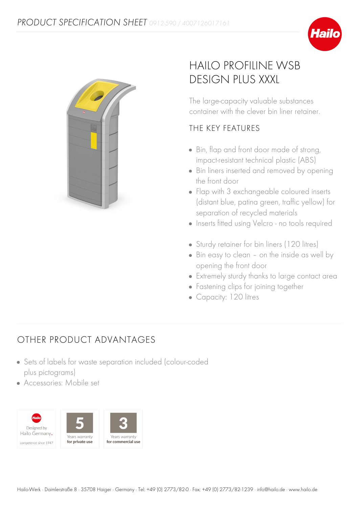



## HAILO PROFILINE WSB DESIGN PLUS XXXL

The large-capacity valuable substances container with the clever bin liner retainer.

## THE KEY FEATURES

- Bin, flap and front door made of strong, impact-resistant technical plastic (ABS)
- Bin liners inserted and removed by opening the front door
- Flap with 3 exchangeable coloured inserts (distant blue, patina green, traffic yellow) for separation of recycled materials
- Inserts fitted using Velcro no tools required
- Sturdy retainer for bin liners (120 litres)
- Bin easy to clean on the inside as well by opening the front door
- Extremely sturdy thanks to large contact area
- Fastening clips for joining together
- Capacity: 120 litres

## **OTHER PRODUCT ADVANTAGES**

- Sets of labels for waste separation included (colour-coded plus pictograms)
- Accessories: Mobile set